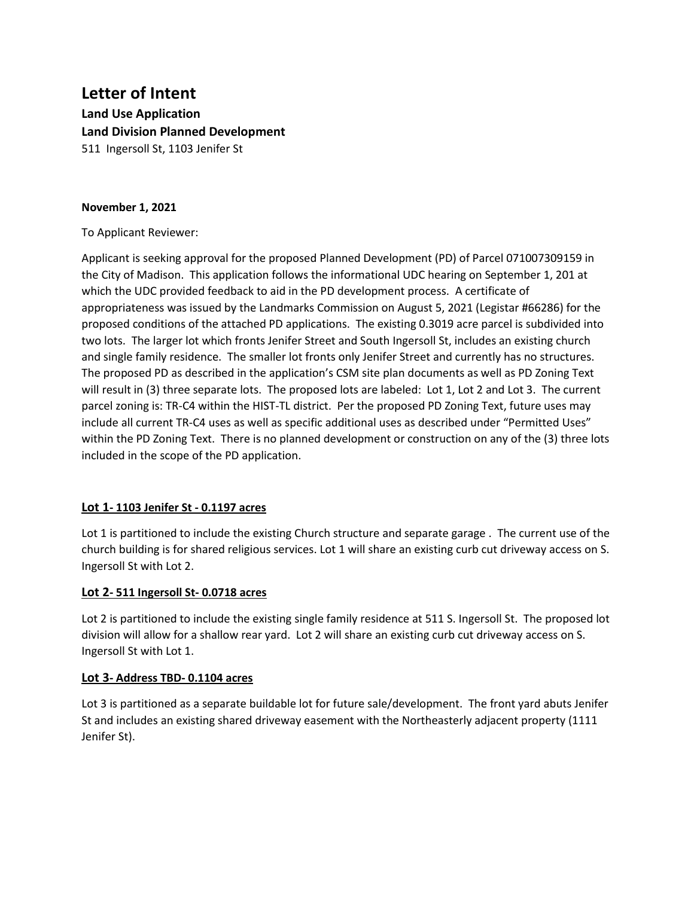# **Letter of Intent Land Use Application Land Division Planned Development** 511 Ingersoll St, 1103 Jenifer St

#### **November 1, 2021**

To Applicant Reviewer:

Applicant is seeking approval for the proposed Planned Development (PD) of Parcel 071007309159 in the City of Madison. This application follows the informational UDC hearing on September 1, 201 at which the UDC provided feedback to aid in the PD development process. A certificate of appropriateness was issued by the Landmarks Commission on August 5, 2021 (Legistar #66286) for the proposed conditions of the attached PD applications. The existing 0.3019 acre parcel is subdivided into two lots. The larger lot which fronts Jenifer Street and South Ingersoll St, includes an existing church and single family residence. The smaller lot fronts only Jenifer Street and currently has no structures. The proposed PD as described in the application's CSM site plan documents as well as PD Zoning Text will result in (3) three separate lots. The proposed lots are labeled: Lot 1, Lot 2 and Lot 3. The current parcel zoning is: TR-C4 within the HIST-TL district. Per the proposed PD Zoning Text, future uses may include all current TR-C4 uses as well as specific additional uses as described under "Permitted Uses" within the PD Zoning Text. There is no planned development or construction on any of the (3) three lots included in the scope of the PD application.

# **Lot 1- 1103 Jenifer St - 0.1197 acres**

Lot 1 is partitioned to include the existing Church structure and separate garage. The current use of the church building is for shared religious services. Lot 1 will share an existing curb cut driveway access on S. Ingersoll St with Lot 2.

#### **Lot 2- 511 Ingersoll St- 0.0718 acres**

Lot 2 is partitioned to include the existing single family residence at 511 S. Ingersoll St. The proposed lot division will allow for a shallow rear yard. Lot 2 will share an existing curb cut driveway access on S. Ingersoll St with Lot 1.

#### **Lot 3- Address TBD- 0.1104 acres**

Lot 3 is partitioned as a separate buildable lot for future sale/development. The front yard abuts Jenifer St and includes an existing shared driveway easement with the Northeasterly adjacent property (1111 Jenifer St).